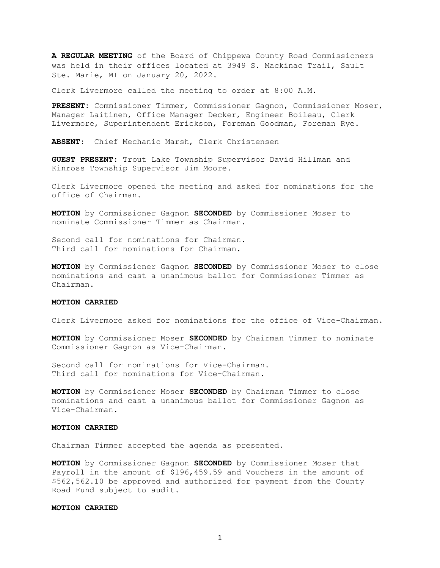A REGULAR MEETING of the Board of Chippewa County Road Commissioners was held in their offices located at 3949 S. Mackinac Trail, Sault Ste. Marie, MI on January 20, 2022.

Clerk Livermore called the meeting to order at 8:00 A.M.

PRESENT: Commissioner Timmer, Commissioner Gagnon, Commissioner Moser, Manager Laitinen, Office Manager Decker, Engineer Boileau, Clerk Livermore, Superintendent Erickson, Foreman Goodman, Foreman Rye.

ABSENT: Chief Mechanic Marsh, Clerk Christensen

GUEST PRESENT: Trout Lake Township Supervisor David Hillman and Kinross Township Supervisor Jim Moore.

Clerk Livermore opened the meeting and asked for nominations for the office of Chairman.

MOTION by Commissioner Gagnon SECONDED by Commissioner Moser to nominate Commissioner Timmer as Chairman.

Second call for nominations for Chairman. Third call for nominations for Chairman.

MOTION by Commissioner Gagnon SECONDED by Commissioner Moser to close nominations and cast a unanimous ballot for Commissioner Timmer as Chairman.

### MOTION CARRIED

Clerk Livermore asked for nominations for the office of Vice-Chairman.

MOTION by Commissioner Moser SECONDED by Chairman Timmer to nominate Commissioner Gagnon as Vice-Chairman.

Second call for nominations for Vice-Chairman. Third call for nominations for Vice-Chairman.

MOTION by Commissioner Moser SECONDED by Chairman Timmer to close nominations and cast a unanimous ballot for Commissioner Gagnon as Vice-Chairman.

#### MOTION CARRIED

Chairman Timmer accepted the agenda as presented.

MOTION by Commissioner Gagnon SECONDED by Commissioner Moser that Payroll in the amount of \$196,459.59 and Vouchers in the amount of \$562,562.10 be approved and authorized for payment from the County Road Fund subject to audit.

### MOTION CARRIED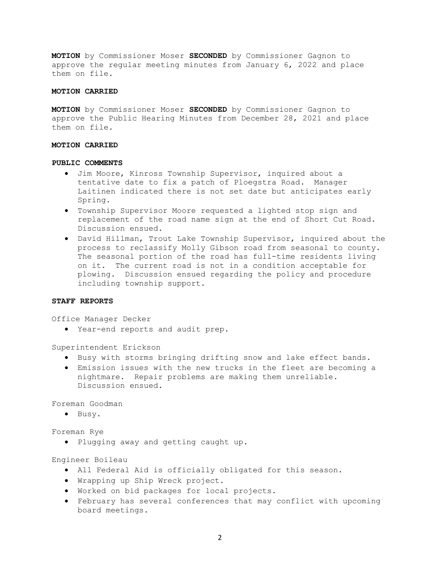MOTION by Commissioner Moser SECONDED by Commissioner Gagnon to approve the regular meeting minutes from January 6, 2022 and place them on file.

### MOTION CARRIED

MOTION by Commissioner Moser SECONDED by Commissioner Gagnon to approve the Public Hearing Minutes from December 28, 2021 and place them on file.

### MOTION CARRIED

## PUBLIC COMMENTS

- Jim Moore, Kinross Township Supervisor, inquired about a tentative date to fix a patch of Ploegstra Road. Manager Laitinen indicated there is not set date but anticipates early Spring.
- Township Supervisor Moore requested a lighted stop sign and replacement of the road name sign at the end of Short Cut Road. Discussion ensued.
- David Hillman, Trout Lake Township Supervisor, inquired about the process to reclassify Molly Gibson road from seasonal to county. The seasonal portion of the road has full-time residents living on it. The current road is not in a condition acceptable for plowing. Discussion ensued regarding the policy and procedure including township support.

### STAFF REPORTS

Office Manager Decker

Year-end reports and audit prep.

Superintendent Erickson

- $\bullet$  Busy with storms bringing drifting snow and lake effect bands.
- Emission issues with the new trucks in the fleet are becoming a nightmare. Repair problems are making them unreliable. Discussion ensued.

Foreman Goodman

· Busy.

Foreman Rye

Plugging away and getting caught up.

Engineer Boileau

- All Federal Aid is officially obligated for this season.
- Wrapping up Ship Wreck project.
- Worked on bid packages for local projects.
- February has several conferences that may conflict with upcoming board meetings.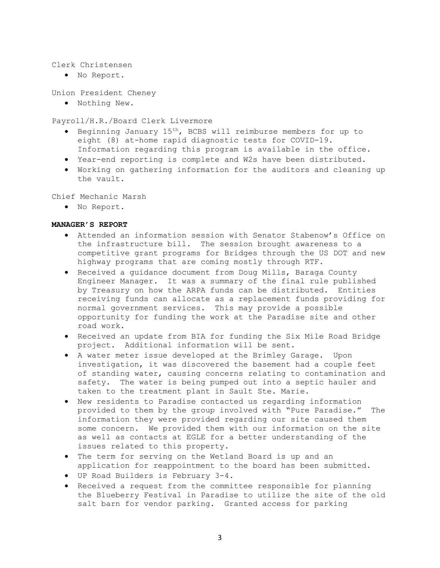## Clerk Christensen

. No Report.

Union President Cheney

Nothing New.

Payroll/H.R./Board Clerk Livermore

- Beginning January 15th, BCBS will reimburse members for up to eight (8) at-home rapid diagnostic tests for COVID-19. Information regarding this program is available in the office.
- Year-end reporting is complete and W2s have been distributed.
- Working on gathering information for the auditors and cleaning up the vault.

Chief Mechanic Marsh

No Report.

# MANAGER'S REPORT

- Attended an information session with Senator Stabenow's Office on the infrastructure bill. The session brought awareness to a competitive grant programs for Bridges through the US DOT and new highway programs that are coming mostly through RTF.
- Received a guidance document from Doug Mills, Baraga County Engineer Manager. It was a summary of the final rule published by Treasury on how the ARPA funds can be distributed. Entities receiving funds can allocate as a replacement funds providing for normal government services. This may provide a possible opportunity for funding the work at the Paradise site and other road work.
- Received an update from BIA for funding the Six Mile Road Bridge project. Additional information will be sent.
- A water meter issue developed at the Brimley Garage. Upon investigation, it was discovered the basement had a couple feet of standing water, causing concerns relating to contamination and safety. The water is being pumped out into a septic hauler and taken to the treatment plant in Sault Ste. Marie.
- New residents to Paradise contacted us regarding information provided to them by the group involved with "Pure Paradise." The information they were provided regarding our site caused them some concern. We provided them with our information on the site as well as contacts at EGLE for a better understanding of the issues related to this property.
- The term for serving on the Wetland Board is up and an application for reappointment to the board has been submitted.
- UP Road Builders is February 3-4.
- Received a request from the committee responsible for planning the Blueberry Festival in Paradise to utilize the site of the old salt barn for vendor parking. Granted access for parking